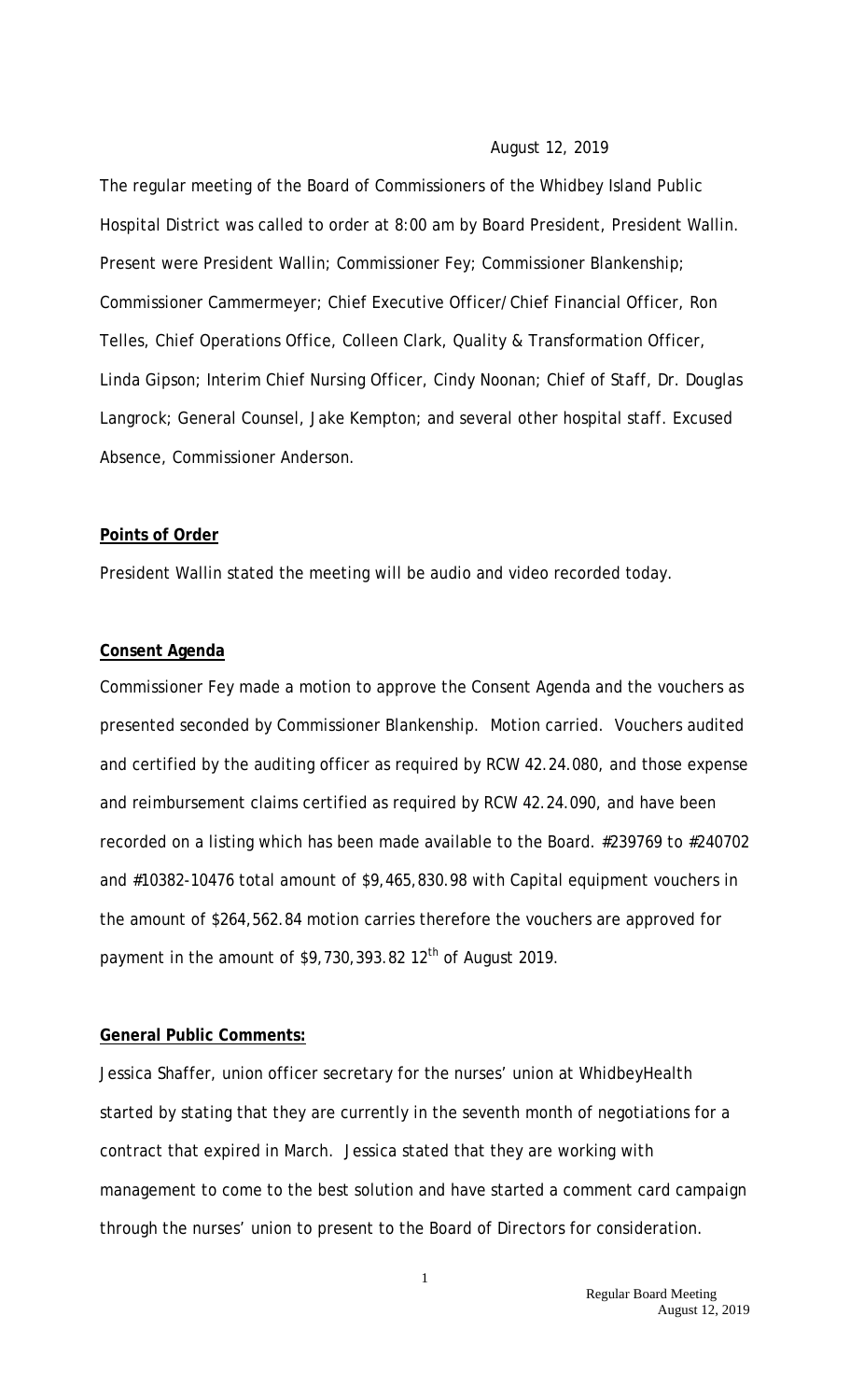#### August 12, 2019

The regular meeting of the Board of Commissioners of the Whidbey Island Public Hospital District was called to order at 8:00 am by Board President, President Wallin. Present were President Wallin; Commissioner Fey; Commissioner Blankenship; Commissioner Cammermeyer; Chief Executive Officer/Chief Financial Officer, Ron Telles, Chief Operations Office, Colleen Clark, Quality & Transformation Officer, Linda Gipson; Interim Chief Nursing Officer, Cindy Noonan; Chief of Staff, Dr. Douglas Langrock; General Counsel, Jake Kempton; and several other hospital staff. Excused Absence, Commissioner Anderson.

#### **Points of Order**

President Wallin stated the meeting will be audio and video recorded today.

#### **Consent Agenda**

Commissioner Fey made a motion to approve the Consent Agenda and the vouchers as presented seconded by Commissioner Blankenship. Motion carried. Vouchers audited and certified by the auditing officer as required by RCW 42.24.080, and those expense and reimbursement claims certified as required by RCW 42.24.090, and have been recorded on a listing which has been made available to the Board. #239769 to #240702 and #10382-10476 total amount of \$9,465,830.98 with Capital equipment vouchers in the amount of \$264,562.84 motion carries therefore the vouchers are approved for payment in the amount of  $$9,730,393.82$   $12<sup>th</sup>$  of August 2019.

## **General Public Comments:**

Jessica Shaffer, union officer secretary for the nurses' union at WhidbeyHealth started by stating that they are currently in the seventh month of negotiations for a contract that expired in March. Jessica stated that they are working with management to come to the best solution and have started a comment card campaign through the nurses' union to present to the Board of Directors for consideration.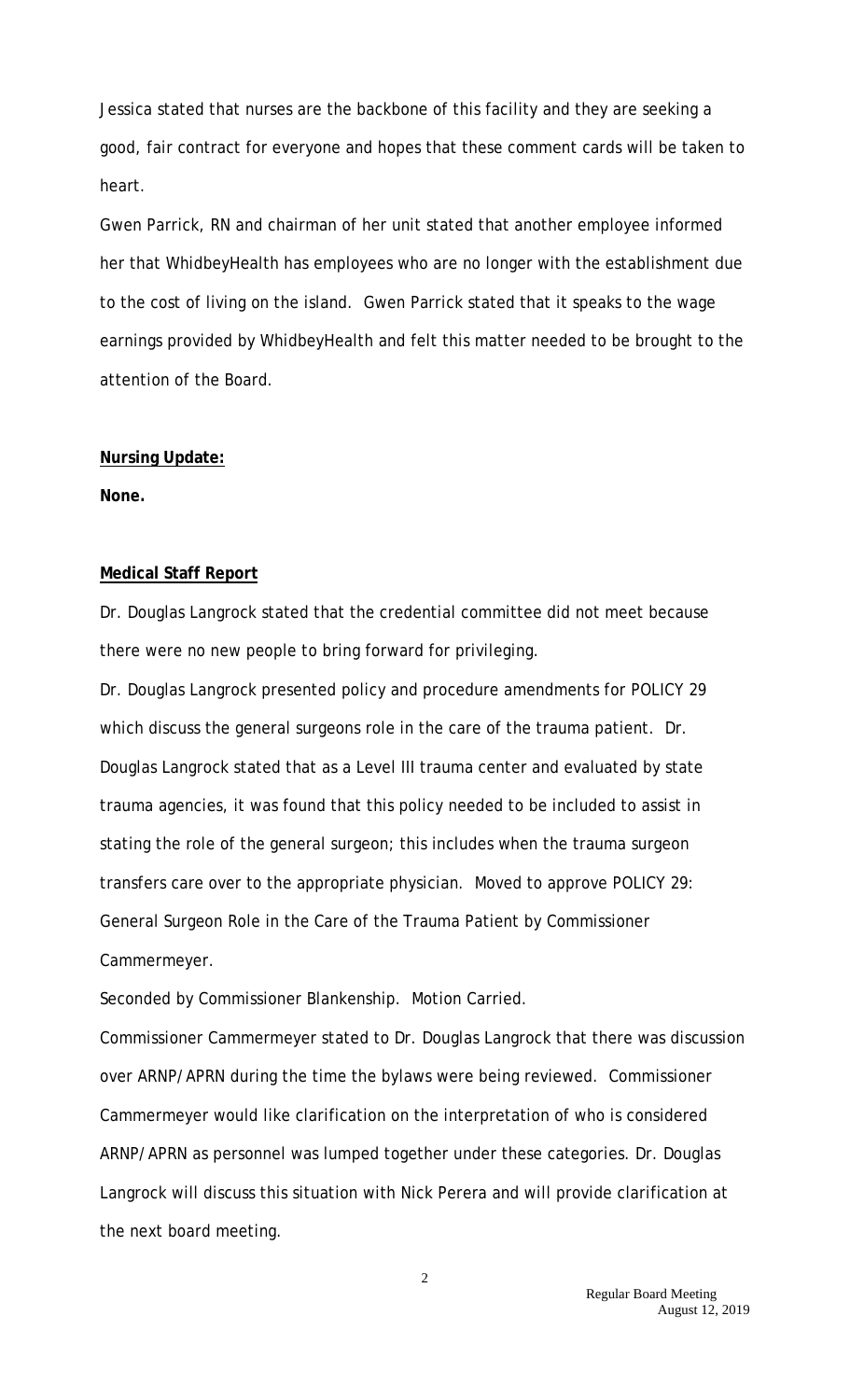Jessica stated that nurses are the backbone of this facility and they are seeking a good, fair contract for everyone and hopes that these comment cards will be taken to heart.

Gwen Parrick, RN and chairman of her unit stated that another employee informed her that WhidbeyHealth has employees who are no longer with the establishment due to the cost of living on the island. Gwen Parrick stated that it speaks to the wage earnings provided by WhidbeyHealth and felt this matter needed to be brought to the attention of the Board.

#### **Nursing Update:**

**None.**

### **Medical Staff Report**

Dr. Douglas Langrock stated that the credential committee did not meet because there were no new people to bring forward for privileging.

Dr. Douglas Langrock presented policy and procedure amendments for POLICY 29 which discuss the general surgeons role in the care of the trauma patient. Dr. Douglas Langrock stated that as a Level III trauma center and evaluated by state trauma agencies, it was found that this policy needed to be included to assist in stating the role of the general surgeon; this includes when the trauma surgeon transfers care over to the appropriate physician. Moved to approve POLICY 29: General Surgeon Role in the Care of the Trauma Patient by Commissioner Cammermeyer.

Seconded by Commissioner Blankenship. Motion Carried.

Commissioner Cammermeyer stated to Dr. Douglas Langrock that there was discussion over ARNP/APRN during the time the bylaws were being reviewed. Commissioner Cammermeyer would like clarification on the interpretation of who is considered ARNP/APRN as personnel was lumped together under these categories. Dr. Douglas Langrock will discuss this situation with Nick Perera and will provide clarification at the next board meeting.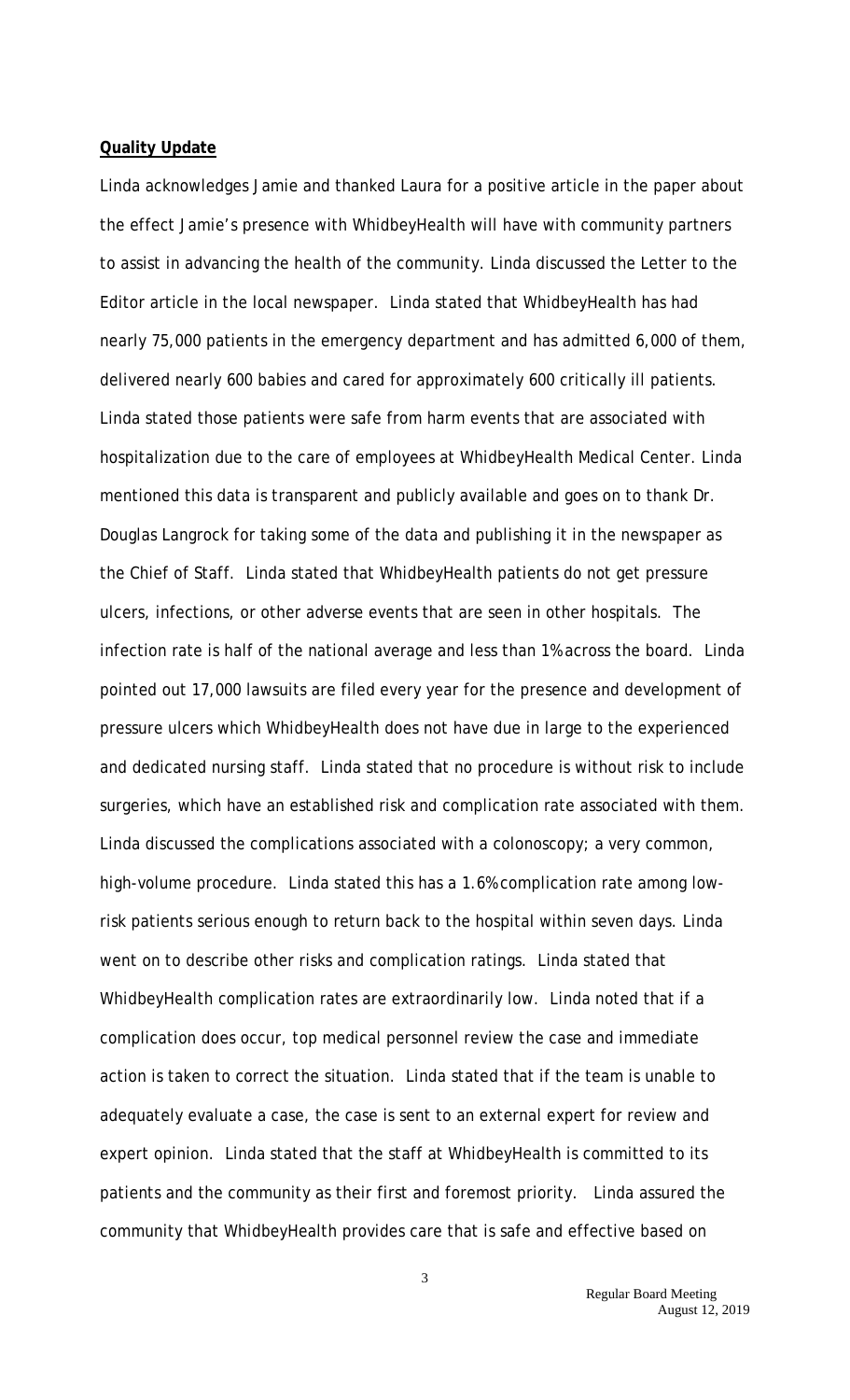#### **Quality Update**

Linda acknowledges Jamie and thanked Laura for a positive article in the paper about the effect Jamie's presence with WhidbeyHealth will have with community partners to assist in advancing the health of the community. Linda discussed the Letter to the Editor article in the local newspaper. Linda stated that WhidbeyHealth has had nearly 75,000 patients in the emergency department and has admitted 6,000 of them, delivered nearly 600 babies and cared for approximately 600 critically ill patients. Linda stated those patients were safe from harm events that are associated with hospitalization due to the care of employees at WhidbeyHealth Medical Center. Linda mentioned this data is transparent and publicly available and goes on to thank Dr. Douglas Langrock for taking some of the data and publishing it in the newspaper as the Chief of Staff. Linda stated that WhidbeyHealth patients do not get pressure ulcers, infections, or other adverse events that are seen in other hospitals. The infection rate is half of the national average and less than 1% across the board. Linda pointed out 17,000 lawsuits are filed every year for the presence and development of pressure ulcers which WhidbeyHealth does not have due in large to the experienced and dedicated nursing staff. Linda stated that no procedure is without risk to include surgeries, which have an established risk and complication rate associated with them. Linda discussed the complications associated with a colonoscopy; a very common, high-volume procedure. Linda stated this has a 1.6% complication rate among lowrisk patients serious enough to return back to the hospital within seven days. Linda went on to describe other risks and complication ratings. Linda stated that WhidbeyHealth complication rates are extraordinarily low. Linda noted that if a complication does occur, top medical personnel review the case and immediate action is taken to correct the situation. Linda stated that if the team is unable to adequately evaluate a case, the case is sent to an external expert for review and expert opinion. Linda stated that the staff at WhidbeyHealth is committed to its patients and the community as their first and foremost priority. Linda assured the community that WhidbeyHealth provides care that is safe and effective based on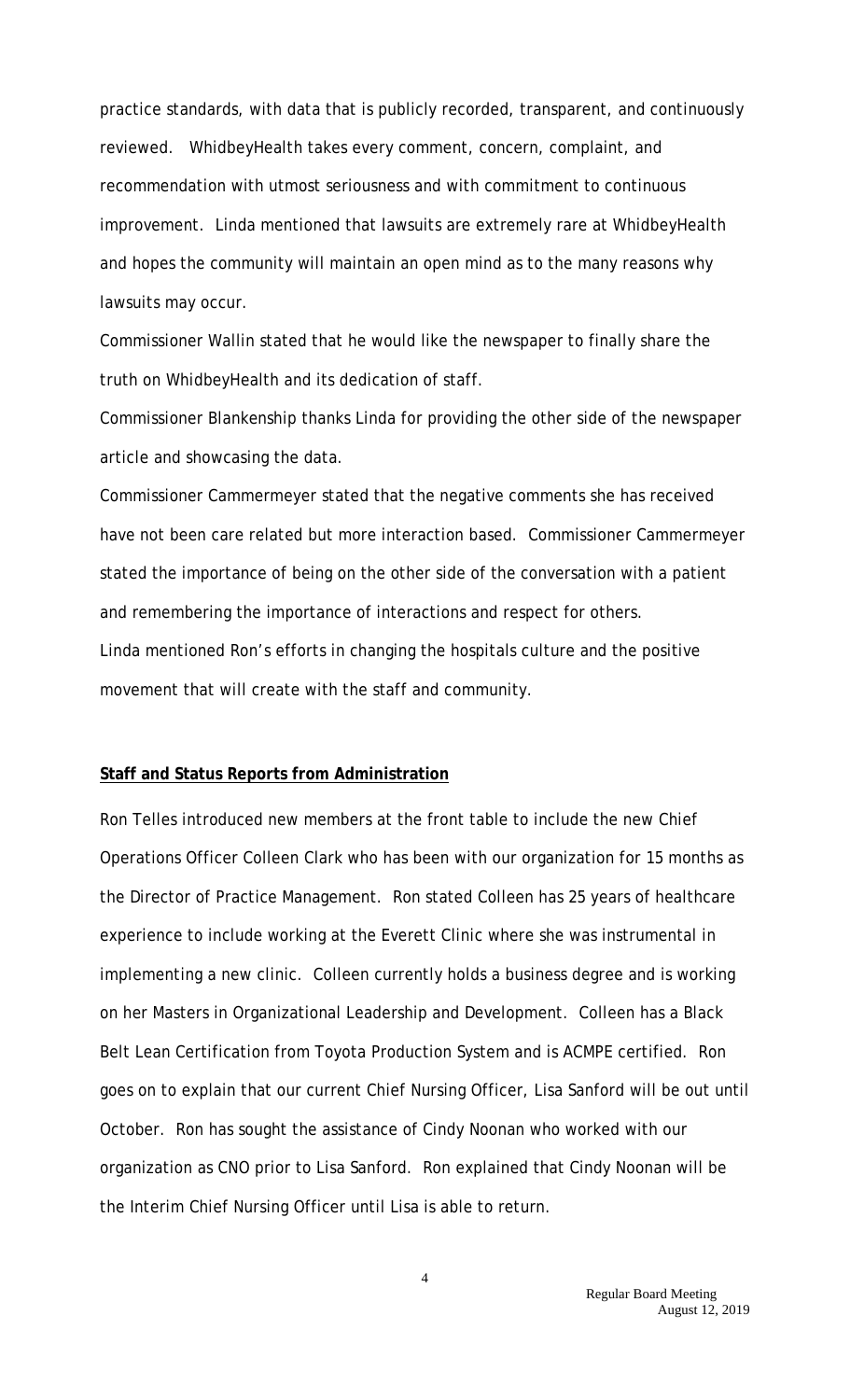practice standards, with data that is publicly recorded, transparent, and continuously reviewed. WhidbeyHealth takes every comment, concern, complaint, and recommendation with utmost seriousness and with commitment to continuous improvement. Linda mentioned that lawsuits are extremely rare at WhidbeyHealth and hopes the community will maintain an open mind as to the many reasons why lawsuits may occur.

Commissioner Wallin stated that he would like the newspaper to finally share the truth on WhidbeyHealth and its dedication of staff.

Commissioner Blankenship thanks Linda for providing the other side of the newspaper article and showcasing the data.

Commissioner Cammermeyer stated that the negative comments she has received have not been care related but more interaction based. Commissioner Cammermeyer stated the importance of being on the other side of the conversation with a patient and remembering the importance of interactions and respect for others. Linda mentioned Ron's efforts in changing the hospitals culture and the positive movement that will create with the staff and community.

#### **Staff and Status Reports from Administration**

Ron Telles introduced new members at the front table to include the new Chief Operations Officer Colleen Clark who has been with our organization for 15 months as the Director of Practice Management. Ron stated Colleen has 25 years of healthcare experience to include working at the Everett Clinic where she was instrumental in implementing a new clinic. Colleen currently holds a business degree and is working on her Masters in Organizational Leadership and Development. Colleen has a Black Belt Lean Certification from Toyota Production System and is ACMPE certified. Ron goes on to explain that our current Chief Nursing Officer, Lisa Sanford will be out until October. Ron has sought the assistance of Cindy Noonan who worked with our organization as CNO prior to Lisa Sanford. Ron explained that Cindy Noonan will be the Interim Chief Nursing Officer until Lisa is able to return.

4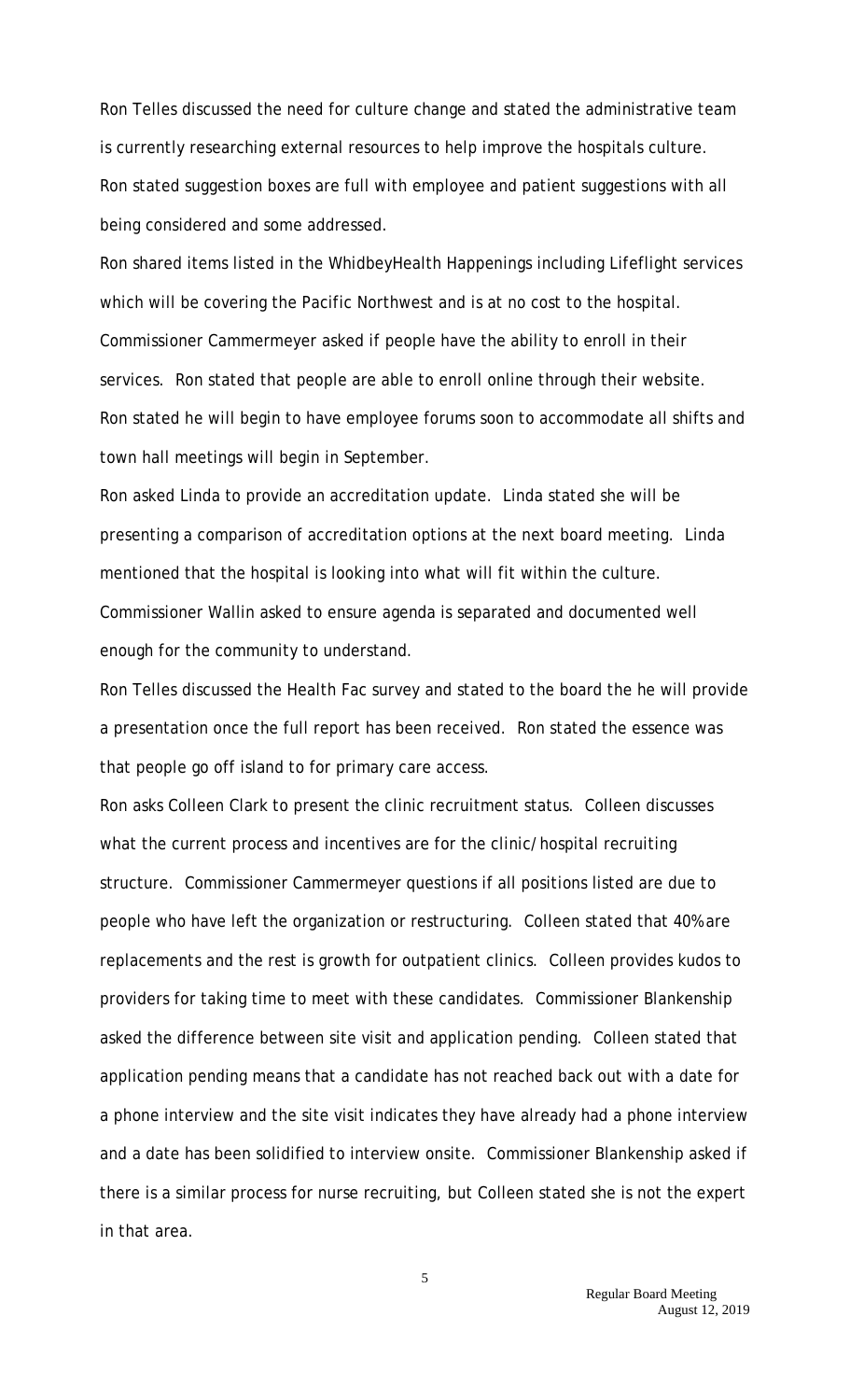Ron Telles discussed the need for culture change and stated the administrative team is currently researching external resources to help improve the hospitals culture. Ron stated suggestion boxes are full with employee and patient suggestions with all being considered and some addressed.

Ron shared items listed in the WhidbeyHealth Happenings including Lifeflight services which will be covering the Pacific Northwest and is at no cost to the hospital. Commissioner Cammermeyer asked if people have the ability to enroll in their services. Ron stated that people are able to enroll online through their website. Ron stated he will begin to have employee forums soon to accommodate all shifts and town hall meetings will begin in September.

Ron asked Linda to provide an accreditation update. Linda stated she will be presenting a comparison of accreditation options at the next board meeting. Linda mentioned that the hospital is looking into what will fit within the culture. Commissioner Wallin asked to ensure agenda is separated and documented well enough for the community to understand.

Ron Telles discussed the Health Fac survey and stated to the board the he will provide a presentation once the full report has been received. Ron stated the essence was that people go off island to for primary care access.

Ron asks Colleen Clark to present the clinic recruitment status. Colleen discusses what the current process and incentives are for the clinic/hospital recruiting structure. Commissioner Cammermeyer questions if all positions listed are due to people who have left the organization or restructuring. Colleen stated that 40% are replacements and the rest is growth for outpatient clinics. Colleen provides kudos to providers for taking time to meet with these candidates. Commissioner Blankenship asked the difference between site visit and application pending. Colleen stated that application pending means that a candidate has not reached back out with a date for a phone interview and the site visit indicates they have already had a phone interview and a date has been solidified to interview onsite. Commissioner Blankenship asked if there is a similar process for nurse recruiting, but Colleen stated she is not the expert in that area.

> Regular Board Meeting August 12, 2019

5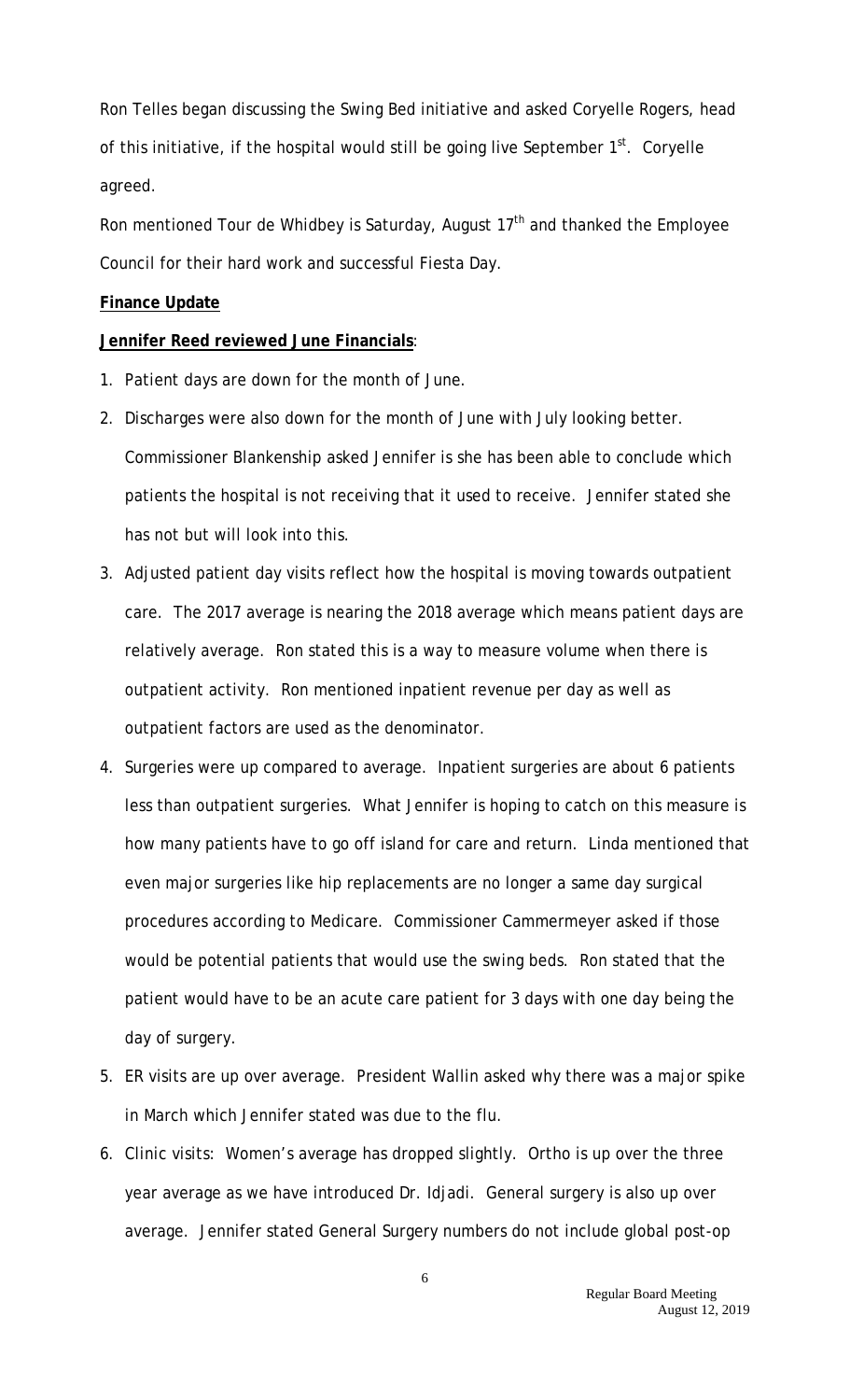Ron Telles began discussing the Swing Bed initiative and asked Coryelle Rogers, head of this initiative, if the hospital would still be going live September  $1<sup>st</sup>$ . Coryelle agreed.

Ron mentioned Tour de Whidbey is Saturday, August  $17<sup>th</sup>$  and thanked the Employee Council for their hard work and successful Fiesta Day.

#### **Finance Update**

## **Jennifer Reed reviewed June Financials**:

- 1. Patient days are down for the month of June.
- 2. Discharges were also down for the month of June with July looking better. Commissioner Blankenship asked Jennifer is she has been able to conclude which patients the hospital is not receiving that it used to receive. Jennifer stated she has not but will look into this.
- 3. Adjusted patient day visits reflect how the hospital is moving towards outpatient care. The 2017 average is nearing the 2018 average which means patient days are relatively average. Ron stated this is a way to measure volume when there is outpatient activity. Ron mentioned inpatient revenue per day as well as outpatient factors are used as the denominator.
- 4. Surgeries were up compared to average. Inpatient surgeries are about 6 patients less than outpatient surgeries. What Jennifer is hoping to catch on this measure is how many patients have to go off island for care and return. Linda mentioned that even major surgeries like hip replacements are no longer a same day surgical procedures according to Medicare. Commissioner Cammermeyer asked if those would be potential patients that would use the swing beds. Ron stated that the patient would have to be an acute care patient for 3 days with one day being the day of surgery.
- 5. ER visits are up over average. President Wallin asked why there was a major spike in March which Jennifer stated was due to the flu.
- 6. Clinic visits: Women's average has dropped slightly. Ortho is up over the three year average as we have introduced Dr. Idjadi. General surgery is also up over average. Jennifer stated General Surgery numbers do not include global post-op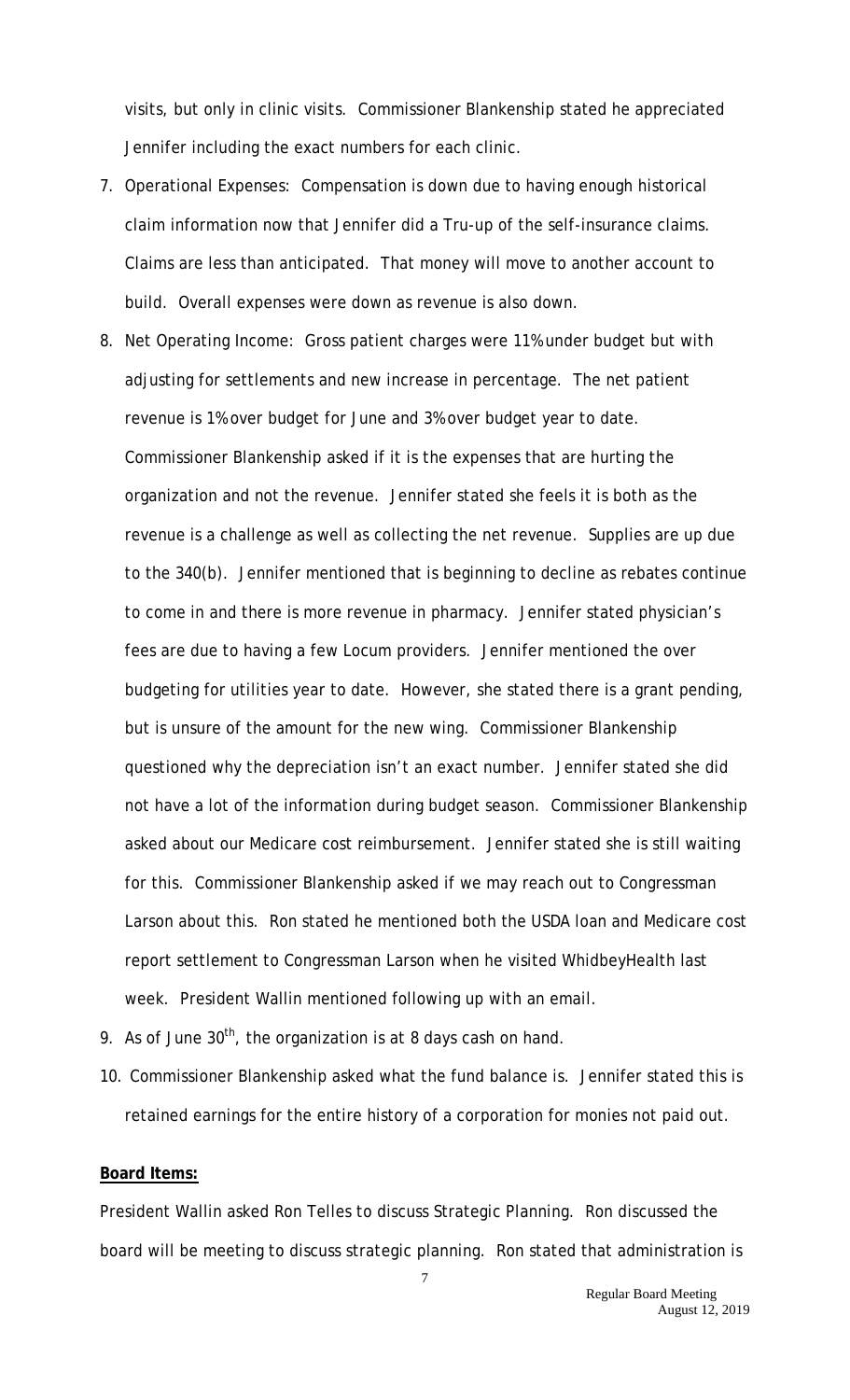visits, but only in clinic visits. Commissioner Blankenship stated he appreciated Jennifer including the exact numbers for each clinic.

- 7. Operational Expenses: Compensation is down due to having enough historical claim information now that Jennifer did a Tru-up of the self-insurance claims. Claims are less than anticipated. That money will move to another account to build. Overall expenses were down as revenue is also down.
- 8. Net Operating Income: Gross patient charges were 11% under budget but with adjusting for settlements and new increase in percentage. The net patient revenue is 1% over budget for June and 3% over budget year to date. Commissioner Blankenship asked if it is the expenses that are hurting the organization and not the revenue. Jennifer stated she feels it is both as the revenue is a challenge as well as collecting the net revenue. Supplies are up due to the 340(b). Jennifer mentioned that is beginning to decline as rebates continue to come in and there is more revenue in pharmacy. Jennifer stated physician's fees are due to having a few Locum providers. Jennifer mentioned the over budgeting for utilities year to date. However, she stated there is a grant pending, but is unsure of the amount for the new wing. Commissioner Blankenship questioned why the depreciation isn't an exact number. Jennifer stated she did not have a lot of the information during budget season. Commissioner Blankenship asked about our Medicare cost reimbursement. Jennifer stated she is still waiting for this. Commissioner Blankenship asked if we may reach out to Congressman Larson about this. Ron stated he mentioned both the USDA loan and Medicare cost report settlement to Congressman Larson when he visited WhidbeyHealth last week. President Wallin mentioned following up with an email.
- 9. As of June  $30<sup>th</sup>$ , the organization is at 8 days cash on hand.
- 10. Commissioner Blankenship asked what the fund balance is. Jennifer stated this is retained earnings for the entire history of a corporation for monies not paid out.

## **Board Items:**

President Wallin asked Ron Telles to discuss Strategic Planning. Ron discussed the board will be meeting to discuss strategic planning. Ron stated that administration is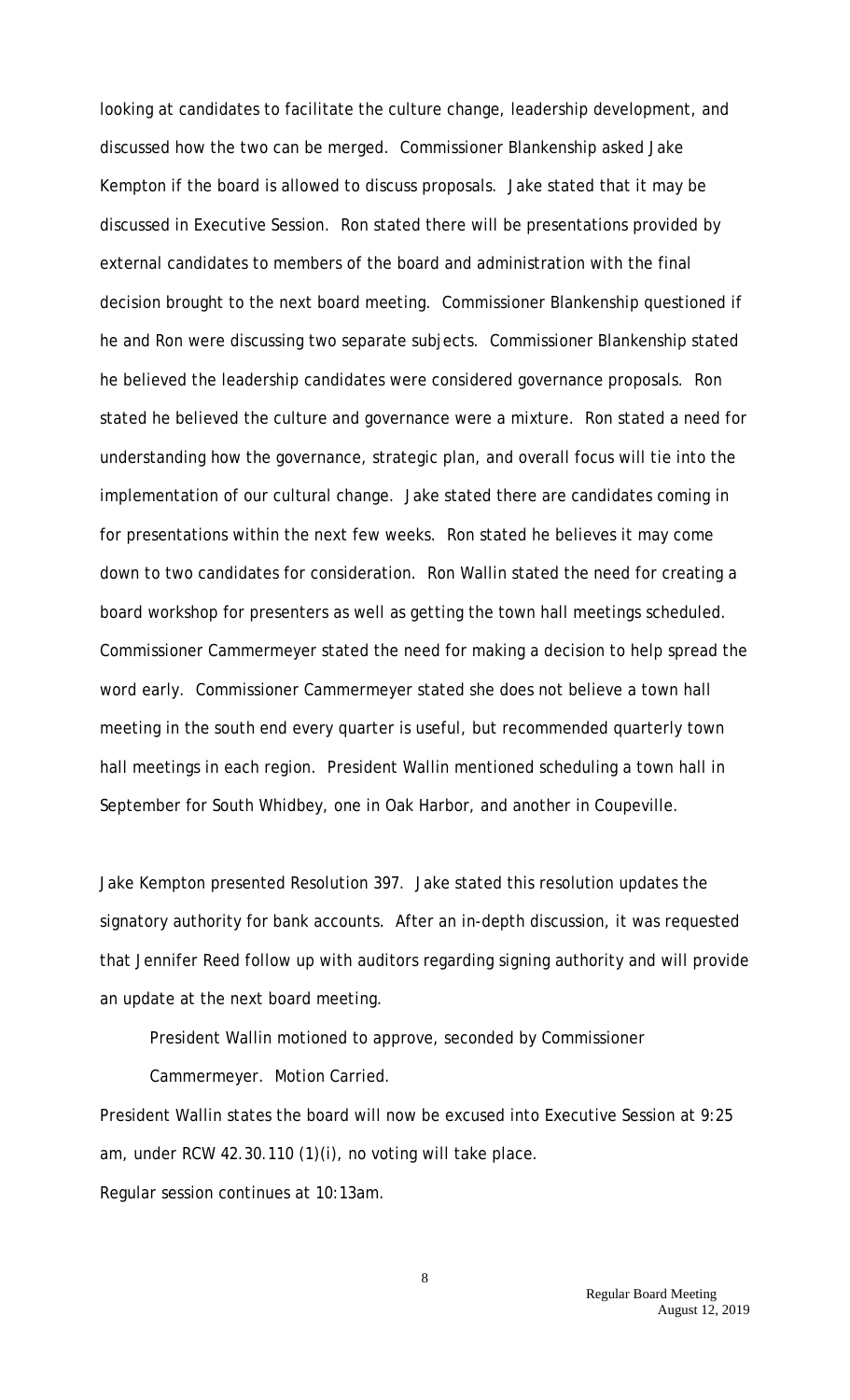looking at candidates to facilitate the culture change, leadership development, and discussed how the two can be merged. Commissioner Blankenship asked Jake Kempton if the board is allowed to discuss proposals. Jake stated that it may be discussed in Executive Session. Ron stated there will be presentations provided by external candidates to members of the board and administration with the final decision brought to the next board meeting. Commissioner Blankenship questioned if he and Ron were discussing two separate subjects. Commissioner Blankenship stated he believed the leadership candidates were considered governance proposals. Ron stated he believed the culture and governance were a mixture. Ron stated a need for understanding how the governance, strategic plan, and overall focus will tie into the implementation of our cultural change. Jake stated there are candidates coming in for presentations within the next few weeks. Ron stated he believes it may come down to two candidates for consideration. Ron Wallin stated the need for creating a board workshop for presenters as well as getting the town hall meetings scheduled. Commissioner Cammermeyer stated the need for making a decision to help spread the word early. Commissioner Cammermeyer stated she does not believe a town hall meeting in the south end every quarter is useful, but recommended quarterly town hall meetings in each region. President Wallin mentioned scheduling a town hall in September for South Whidbey, one in Oak Harbor, and another in Coupeville.

Jake Kempton presented Resolution 397. Jake stated this resolution updates the signatory authority for bank accounts. After an in-depth discussion, it was requested that Jennifer Reed follow up with auditors regarding signing authority and will provide an update at the next board meeting.

President Wallin motioned to approve, seconded by Commissioner

Cammermeyer. Motion Carried.

President Wallin states the board will now be excused into Executive Session at 9:25 am, under RCW 42.30.110 (1)(i), no voting will take place. Regular session continues at 10:13am.